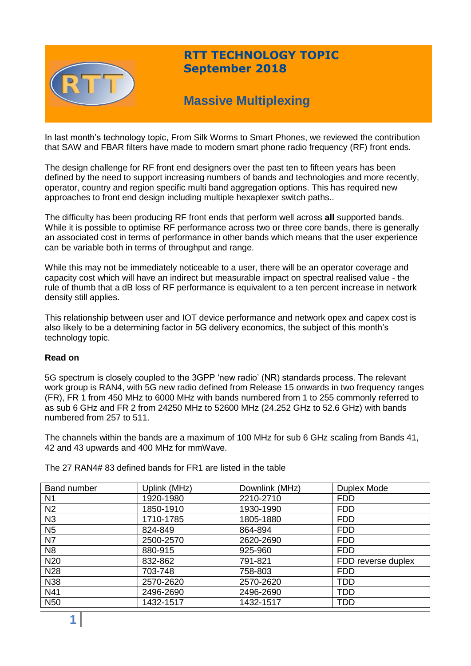

# **RTT TECHNOLOGY TOPIC September 2018**

# **Massive Multiplexing**

In last month's technology topic, From Silk Worms to Smart Phones, we reviewed the contribution that SAW and FBAR filters have made to modern smart phone radio frequency (RF) front ends.

The design challenge for RF front end designers over the past ten to fifteen years has been defined by the need to support increasing numbers of bands and technologies and more recently, operator, country and region specific multi band aggregation options. This has required new approaches to front end design including multiple hexaplexer switch paths..

The difficulty has been producing RF front ends that perform well across **all** supported bands. While it is possible to optimise RF performance across two or three core bands, there is generally an associated cost in terms of performance in other bands which means that the user experience can be variable both in terms of throughput and range.

While this may not be immediately noticeable to a user, there will be an operator coverage and capacity cost which will have an indirect but measurable impact on spectral realised value - the rule of thumb that a dB loss of RF performance is equivalent to a ten percent increase in network density still applies.

This relationship between user and IOT device performance and network opex and capex cost is also likely to be a determining factor in 5G delivery economics, the subject of this month's technology topic.

## **Read on**

5G spectrum is closely coupled to the 3GPP 'new radio' (NR) standards process. The relevant work group is RAN4, with 5G new radio defined from Release 15 onwards in two frequency ranges (FR), FR 1 from 450 MHz to 6000 MHz with bands numbered from 1 to 255 commonly referred to as sub 6 GHz and FR 2 from 24250 MHz to 52600 MHz (24.252 GHz to 52.6 GHz) with bands numbered from 257 to 511.

The channels within the bands are a maximum of 100 MHz for sub 6 GHz scaling from Bands 41, 42 and 43 upwards and 400 MHz for mmWave.

Band number | Uplink (MHz) | Downlink (MHz) | Duplex Mode N1 1920-1980 2210-2710 FDD N2 1850-1910 1930-1990 FDD N3 1710-1785 1805-1880 FDD N5 824-849 864-894 FDD N7 2500-2570 2620-2690 FDD N8 880-915 925-960 FDD N20 832-862 791-821 FDD reverse duplex N28 703-748 758-803 FDD N38 2570-2620 2570-2620 TDD N41 2496-2690 2496-2690 TDD N50 1432-1517 1432-1517 TDD

The 27 RAN4# 83 defined bands for FR1 are listed in the table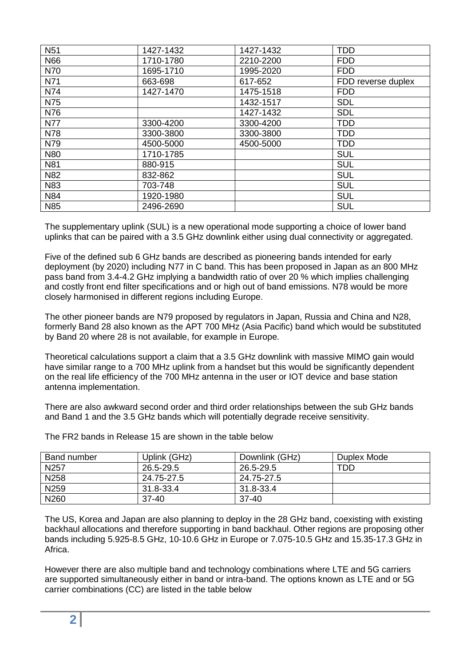| <b>N51</b> | 1427-1432 | 1427-1432 | <b>TDD</b>         |
|------------|-----------|-----------|--------------------|
| N66        | 1710-1780 | 2210-2200 | <b>FDD</b>         |
| N70        | 1695-1710 | 1995-2020 | <b>FDD</b>         |
| N71        | 663-698   | 617-652   | FDD reverse duplex |
| N74        | 1427-1470 | 1475-1518 | <b>FDD</b>         |
| N75        |           | 1432-1517 | <b>SDL</b>         |
| N76        |           | 1427-1432 | <b>SDL</b>         |
| <b>N77</b> | 3300-4200 | 3300-4200 | <b>TDD</b>         |
| N78        | 3300-3800 | 3300-3800 | <b>TDD</b>         |
| N79        | 4500-5000 | 4500-5000 | <b>TDD</b>         |
| <b>N80</b> | 1710-1785 |           | <b>SUL</b>         |
| <b>N81</b> | 880-915   |           | <b>SUL</b>         |
| N82        | 832-862   |           | <b>SUL</b>         |
| N83        | 703-748   |           | <b>SUL</b>         |
| <b>N84</b> | 1920-1980 |           | <b>SUL</b>         |
| <b>N85</b> | 2496-2690 |           | <b>SUL</b>         |

The supplementary uplink (SUL) is a new operational mode supporting a choice of lower band uplinks that can be paired with a 3.5 GHz downlink either using dual connectivity or aggregated.

Five of the defined sub 6 GHz bands are described as pioneering bands intended for early deployment (by 2020) including N77 in C band. This has been proposed in Japan as an 800 MHz pass band from 3.4-4.2 GHz implying a bandwidth ratio of over 20 % which implies challenging and costly front end filter specifications and or high out of band emissions. N78 would be more closely harmonised in different regions including Europe.

The other pioneer bands are N79 proposed by regulators in Japan, Russia and China and N28, formerly Band 28 also known as the APT 700 MHz (Asia Pacific) band which would be substituted by Band 20 where 28 is not available, for example in Europe.

Theoretical calculations support a claim that a 3.5 GHz downlink with massive MIMO gain would have similar range to a 700 MHz uplink from a handset but this would be significantly dependent on the real life efficiency of the 700 MHz antenna in the user or IOT device and base station antenna implementation.

There are also awkward second order and third order relationships between the sub GHz bands and Band 1 and the 3.5 GHz bands which will potentially degrade receive sensitivity.

Band number Uplink (GHz) Downlink (GHz) Duplex Mode N257 26.5-29.5 26.5-29.5 TDD<br>N258 24.75-27.5 24.75-27.5 N258 24.75-27.5 24.75-27.5 N259 31.8-33.4 31.8-33.4 N260 37-40 37-40

The FR2 bands in Release 15 are shown in the table below

The US, Korea and Japan are also planning to deploy in the 28 GHz band, coexisting with existing backhaul allocations and therefore supporting in band backhaul. Other regions are proposing other bands including 5.925-8.5 GHz, 10-10.6 GHz in Europe or 7.075-10.5 GHz and 15.35-17.3 GHz in Africa.

However there are also multiple band and technology combinations where LTE and 5G carriers are supported simultaneously either in band or intra-band. The options known as LTE and or 5G carrier combinations (CC) are listed in the table below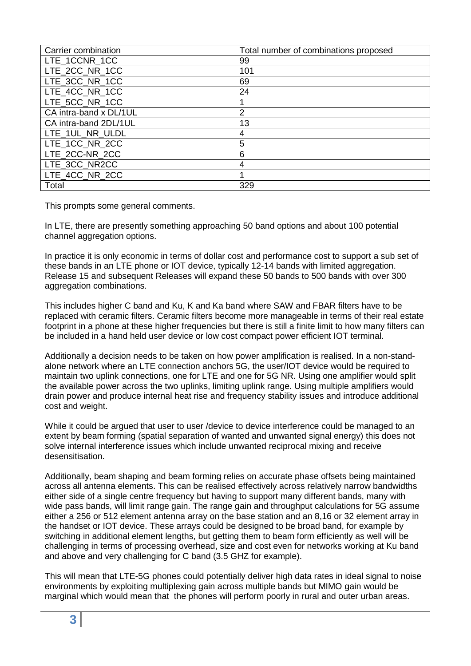| Carrier combination    | Total number of combinations proposed |
|------------------------|---------------------------------------|
| LTE 1CCNR 1CC          | 99                                    |
| LTE 2CC NR 1CC         | 101                                   |
| LTE_3CC_NR_1CC         | 69                                    |
| LTE_4CC_NR_1CC         | 24                                    |
| LTE 5CC NR 1CC         |                                       |
| CA intra-band x DL/1UL | $\overline{2}$                        |
| CA intra-band 2DL/1UL  | 13                                    |
| LTE_1UL_NR_ULDL        | 4                                     |
| LTE_1CC_NR_2CC         | 5                                     |
| LTE 2CC-NR 2CC         | 6                                     |
| LTE 3CC NR2CC          | 4                                     |
| LTE_4CC_NR_2CC         |                                       |
| Total                  | 329                                   |

This prompts some general comments.

In LTE, there are presently something approaching 50 band options and about 100 potential channel aggregation options.

In practice it is only economic in terms of dollar cost and performance cost to support a sub set of these bands in an LTE phone or IOT device, typically 12-14 bands with limited aggregation. Release 15 and subsequent Releases will expand these 50 bands to 500 bands with over 300 aggregation combinations.

This includes higher C band and Ku, K and Ka band where SAW and FBAR filters have to be replaced with ceramic filters. Ceramic filters become more manageable in terms of their real estate footprint in a phone at these higher frequencies but there is still a finite limit to how many filters can be included in a hand held user device or low cost compact power efficient IOT terminal.

Additionally a decision needs to be taken on how power amplification is realised. In a non-standalone network where an LTE connection anchors 5G, the user/IOT device would be required to maintain two uplink connections, one for LTE and one for 5G NR. Using one amplifier would split the available power across the two uplinks, limiting uplink range. Using multiple amplifiers would drain power and produce internal heat rise and frequency stability issues and introduce additional cost and weight.

While it could be argued that user to user /device to device interference could be managed to an extent by beam forming (spatial separation of wanted and unwanted signal energy) this does not solve internal interference issues which include unwanted reciprocal mixing and receive desensitisation.

Additionally, beam shaping and beam forming relies on accurate phase offsets being maintained across all antenna elements. This can be realised effectively across relatively narrow bandwidths either side of a single centre frequency but having to support many different bands, many with wide pass bands, will limit range gain. The range gain and throughput calculations for 5G assume either a 256 or 512 element antenna array on the base station and an 8,16 or 32 element array in the handset or IOT device. These arrays could be designed to be broad band, for example by switching in additional element lengths, but getting them to beam form efficiently as well will be challenging in terms of processing overhead, size and cost even for networks working at Ku band and above and very challenging for C band (3.5 GHZ for example).

This will mean that LTE-5G phones could potentially deliver high data rates in ideal signal to noise environments by exploiting multiplexing gain across multiple bands but MIMO gain would be marginal which would mean that the phones will perform poorly in rural and outer urban areas.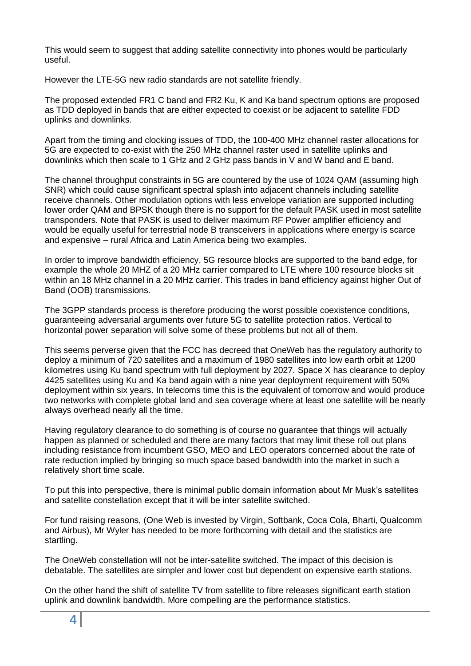This would seem to suggest that adding satellite connectivity into phones would be particularly useful.

However the LTE-5G new radio standards are not satellite friendly.

The proposed extended FR1 C band and FR2 Ku, K and Ka band spectrum options are proposed as TDD deployed in bands that are either expected to coexist or be adjacent to satellite FDD uplinks and downlinks.

Apart from the timing and clocking issues of TDD, the 100-400 MHz channel raster allocations for 5G are expected to co-exist with the 250 MHz channel raster used in satellite uplinks and downlinks which then scale to 1 GHz and 2 GHz pass bands in V and W band and E band.

The channel throughput constraints in 5G are countered by the use of 1024 QAM (assuming high SNR) which could cause significant spectral splash into adjacent channels including satellite receive channels. Other modulation options with less envelope variation are supported including lower order QAM and BPSK though there is no support for the default PASK used in most satellite transponders. Note that PASK is used to deliver maximum RF Power amplifier efficiency and would be equally useful for terrestrial node B transceivers in applications where energy is scarce and expensive – rural Africa and Latin America being two examples.

In order to improve bandwidth efficiency, 5G resource blocks are supported to the band edge, for example the whole 20 MHZ of a 20 MHz carrier compared to LTE where 100 resource blocks sit within an 18 MHz channel in a 20 MHz carrier. This trades in band efficiency against higher Out of Band (OOB) transmissions.

The 3GPP standards process is therefore producing the worst possible coexistence conditions, guaranteeing adversarial arguments over future 5G to satellite protection ratios. Vertical to horizontal power separation will solve some of these problems but not all of them.

This seems perverse given that the FCC has decreed that OneWeb has the regulatory authority to deploy a minimum of 720 satellites and a maximum of 1980 satellites into low earth orbit at 1200 kilometres using Ku band spectrum with full deployment by 2027. Space X has clearance to deploy 4425 satellites using Ku and Ka band again with a nine year deployment requirement with 50% deployment within six years. In telecoms time this is the equivalent of tomorrow and would produce two networks with complete global land and sea coverage where at least one satellite will be nearly always overhead nearly all the time.

Having regulatory clearance to do something is of course no guarantee that things will actually happen as planned or scheduled and there are many factors that may limit these roll out plans including resistance from incumbent GSO, MEO and LEO operators concerned about the rate of rate reduction implied by bringing so much space based bandwidth into the market in such a relatively short time scale.

To put this into perspective, there is minimal public domain information about Mr Musk's satellites and satellite constellation except that it will be inter satellite switched.

For fund raising reasons, (One Web is invested by Virgin, Softbank, Coca Cola, Bharti, Qualcomm and Airbus), Mr Wyler has needed to be more forthcoming with detail and the statistics are startling.

The OneWeb constellation will not be inter-satellite switched. The impact of this decision is debatable. The satellites are simpler and lower cost but dependent on expensive earth stations.

On the other hand the shift of satellite TV from satellite to fibre releases significant earth station uplink and downlink bandwidth. More compelling are the performance statistics.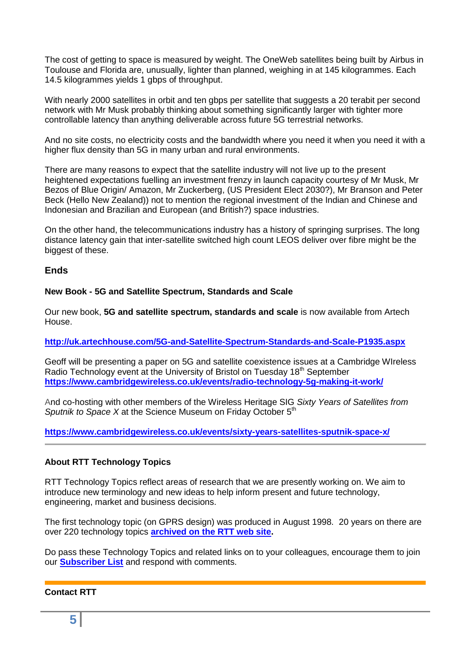The cost of getting to space is measured by weight. The OneWeb satellites being built by Airbus in Toulouse and Florida are, unusually, lighter than planned, weighing in at 145 kilogrammes. Each 14.5 kilogrammes yields 1 gbps of throughput.

With nearly 2000 satellites in orbit and ten gbps per satellite that suggests a 20 terabit per second network with Mr Musk probably thinking about something significantly larger with tighter more controllable latency than anything deliverable across future 5G terrestrial networks.

And no site costs, no electricity costs and the bandwidth where you need it when you need it with a higher flux density than 5G in many urban and rural environments.

There are many reasons to expect that the satellite industry will not live up to the present heightened expectations fuelling an investment frenzy in launch capacity courtesy of Mr Musk, Mr Bezos of Blue Origin/ Amazon, Mr Zuckerberg, (US President Elect 2030?), Mr Branson and Peter Beck (Hello New Zealand)) not to mention the regional investment of the Indian and Chinese and Indonesian and Brazilian and European (and British?) space industries.

On the other hand, the telecommunications industry has a history of springing surprises. The long distance latency gain that inter-satellite switched high count LEOS deliver over fibre might be the biggest of these.

## **Ends**

## **New Book - 5G and Satellite Spectrum, Standards and Scale**

Our new book, **5G and satellite spectrum, standards and scale** is now available from Artech House.

**<http://uk.artechhouse.com/5G-and-Satellite-Spectrum-Standards-and-Scale-P1935.aspx>**

Geoff will be presenting a paper on 5G and satellite coexistence issues at a Cambridge WIreless Radio Technology event at the University of Bristol on Tuesday 18<sup>th</sup> September **<https://www.cambridgewireless.co.uk/events/radio-technology-5g-making-it-work/>**

And co-hosting with other members of the Wireless Heritage SIG *Sixty Years of Satellites from Sputnik to Space X* at the Science Museum on Friday October 5<sup>th</sup>

**<https://www.cambridgewireless.co.uk/events/sixty-years-satellites-sputnik-space-x/>**

## **About RTT Technology Topics**

RTT Technology Topics reflect areas of research that we are presently working on. We aim to introduce new terminology and new ideas to help inform present and future technology, engineering, market and business decisions.

The first technology topic (on GPRS design) was produced in August 1998. 20 years on there are over 220 technology topics **[archived on the RTT web site.](http://www.rttonline.com/sitemap.html)**

Do pass these Technology Topics and related links on to your colleagues, encourage them to join our **[Subscriber List](mailto:geoff@rttonline.com?subject=Please%20put%20me%20on%20the%20RTT%20Push%20List)** and respond with comments.

## **Contact RTT**